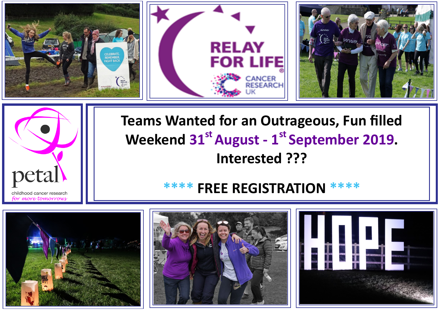



**Teams Wanted for an Outrageous, Fun filled Weekend 31st August - 1 st September 2019. Interested ???** 

# **\*\*\*\* FREE REGISTRATION \*\*\*\***